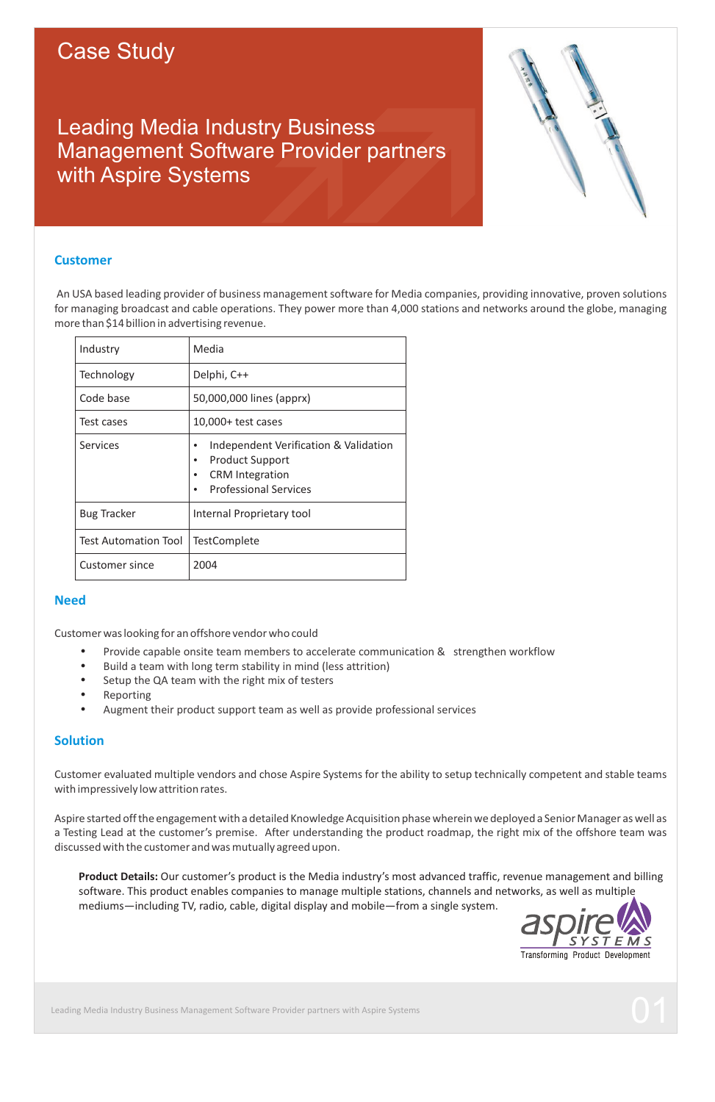# Case Study

# Leading Media Industry Business Management Software Provider partners with Aspire Systems



## **Customer**

An USA based leading provider of business management software for Media companies, providing innovative, proven solutions for managing broadcast and cable operations. They power more than 4,000 stations and networks around the globe, managing more than \$14 billion in advertising revenue.

| Industry                    | Media                                                                                                                                         |
|-----------------------------|-----------------------------------------------------------------------------------------------------------------------------------------------|
| Technology                  | Delphi, C++                                                                                                                                   |
| Code base                   | 50,000,000 lines (apprx)                                                                                                                      |
| Test cases                  | $10,000+$ test cases                                                                                                                          |
| Services                    | Independent Verification & Validation<br>٠<br><b>Product Support</b><br>٠<br><b>CRM</b> Integration<br>٠<br><b>Professional Services</b><br>٠ |
| <b>Bug Tracker</b>          | Internal Proprietary tool                                                                                                                     |
| <b>Test Automation Tool</b> | <b>TestComplete</b>                                                                                                                           |
| Customer since              | 2004                                                                                                                                          |

## **Need**

Customer was looking for an offshore vendor who could

- Provide capable onsite team members to accelerate communication & strengthen workflow
- Build a team with long term stability in mind (less attrition)
- Provide c<br>• Build a te<br>• Setup the<br>• Reporting<br>• Augment Setup the QA team with the right mix of testers
- Reporting
- Augment their product support team as well as provide professional services

# **Solution**

Customer evaluated multiple vendors and chose Aspire Systems for the ability to setup technically competent and stable teams with impressively low attrition rates.

Aspire started off the engagement with a detailed Knowledge Acquisition phase wherein we deployed a Senior Manager as well as a Testing Lead at the customer's premise. After understanding the product roadmap, the right mix of the offshore team was discussed with the customer and was mutually agreed upon.

 **Product Details:** Our customer's product is the Media industry's most advanced traffic, revenue management and billing software. This product enables companies to manage multiple stations, channels and networks, as well as multiple mediums—including TV, radio, cable, digital display and mobile—from a single system.



Leading Media Industry Business Management Software Provider partners with Aspire Systems